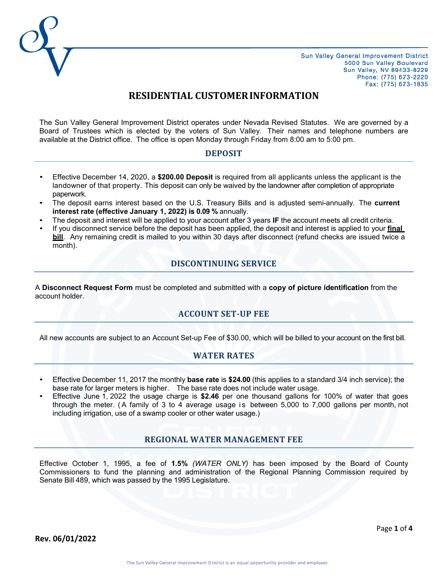

# **RESIDENTIAL CUSTOMERINFORMATION**

The Sun Valley General Improvement District operates under Nevada Revised Statutes. We are governed by a Board of Trustees which is elected by the voters of Sun Valley. Their names and telephone numbers are available at the District office. The office is open Monday through Friday from 8:00 am to 5:00 pm.

#### **DEPOSIT**

- Effective December 14, 2020, a **\$200.00 Deposit** is required from all applicants unless the applicant is the landowner of that property. This deposit can only be waived by the landowner after completion of appropriate paperwork.
- The deposit earns interest based on the U.S. Treasury Bills and is adjusted semi-annually. The **current interest rate (effective January 1, 2022) is 0.09 %** annually.
- The deposit and interest will be applied to your account after 3 years **IF** the account meets all credit criteria.
- If you disconnect service before the deposit has been applied, the deposit and interest is applied to your **final bill**. Any remaining credit is mailed to you within 30 days after disconnect (refund checks are issued twice a month).

# **DISCONTINUING SERVICE**

A **Disconnect Request Form** must be completed and submitted with a **copy of picture identification** from the account holder.

# **ACCOUNT SET-UP FEE**

All new accounts are subject to an Account Set-up Fee of \$30.00, which will be billed to your account on the first bill.

#### **WATER RATES**

- Effective December 11, 2017 the monthly **base rate** is **\$24.00** (this applies to a standard 3/4 inch service); the base rate for larger meters is higher. The base rate does not include water usage.
- Effective June 1, 2022 the usage charge is **\$2.46** per one thousand gallons for 100% of water that goes through the meter. (A family of 3 to 4 average usage is between  $5,000$  to 7,000 gallons per month, not including irrigation, use of a swamp cooler or other water usage.)

#### **REGIONAL WATER MANAGEMENT FEE**

Effective October 1, 1995, a fee of **1.5%** *(WATER ONLY)* has been imposed by the Board of County Commissioners to fund the planning and administration of the Regional Planning Commission required by Senate Bill 489, which was passed by the 1995 Legislature.

**Rev. 06/01/2022**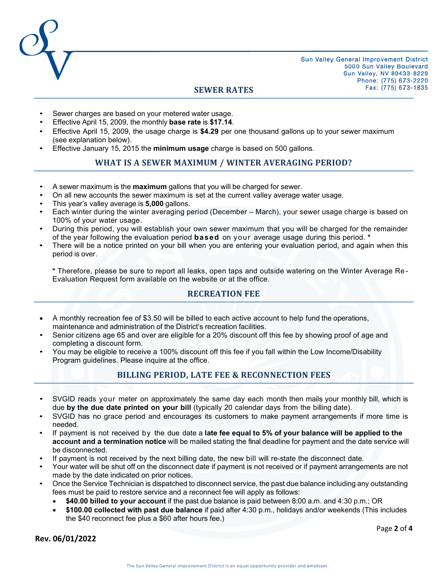

#### **SEWER RATES**

- Sewer charges are based on your metered water usage.
- Effective April 15, 2009, the monthly **base rate** is **\$17.14**.
- Effective April 15, 2009, the usage charge is **\$4.29** per one thousand gallons up to your sewer maximum (see explanation below).
- Effective January 15, 2015 the **minimum usage** charge is based on 500 gallons.

# **WHAT IS A SEWER MAXIMUM / WINTER AVERAGING PERIOD?**

- A sewer maximum is the **maximum** gallons that you will be charged for sewer.
- On all new accounts the sewer maximum is set at the current valley average water usage.
- This year's valley average is **5,000** gallons.
- Each winter during the winter averaging period (December March), your sewer usage charge is based on 100% of your water usage.
- During this period, you will establish your own sewer maximum that you will be charged for the remainder of the year following the evaluation period **based** on your average usage during this period. **\***
- There will be a notice printed on your bill when you are entering your evaluation period, and again when this period is over.

**\*** Therefore, please be sure to report all leaks, open taps and outside watering on the Winter Average Re - Evaluation Request form available on the website or at the office.

#### **RECREATION FEE**

- A monthly recreation fee of \$3.50 will be billed to each active account to help fund the operations, maintenance and administration of the District's recreation facilities.
- Senior citizens age 65 and over are eligible for a 20% discount off this fee by showing proof of age and completing a discount form.
- You may be eligible to receive a 100% discount off this fee if you fall within the Low Income/Disability Program guidelines. Please inquire at the office.

#### **BILLING PERIOD, LATE FEE & RECONNECTION FEES**

- SVGID reads your meter on approximately the same day each month then mails your monthly bill, which is due **by the due date printed on your bill** (typically 20 calendar days from the billing date).
- SVGID has no grace period and encourages its customers to make payment arrangements if more time is needed.
- If payment is not received by the due date a **late fee equal to 5% of your balance will be applied to the account and a termination notice** will be mailed stating the final deadline for payment and the date service will be disconnected.
- If payment is not received by the next billing date, the new bill will re-state the disconnect date.
- Your water will be shut off on the disconnect date if payment is not received or if payment arrangements are not made by the date indicated on prior notices.
- Once the Service Technician is dispatched to disconnect service, the past due balance including any outstanding fees must be paid to restore service and a reconnect fee will apply as follows:
	- **\$40.00 billed to your account** if the past due balance is paid between 8:00 a.m. and 4:30 p.m.; OR
	- **\$100.00 collected with past due balance** if paid after 4:30 p.m., holidays and/or weekends (This includes the \$40 reconnect fee plus a \$60 after hours fee.)

**Rev. 06/01/2022**

Page **2** of **4**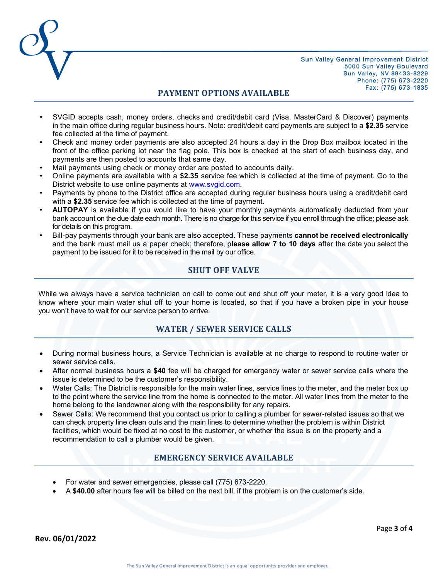

### **PAYMENT OPTIONS AVAILABLE**

- SVGID accepts cash, money orders, checks and credit/debit card (Visa, MasterCard & Discover) payments in the main office during regular business hours. Note: credit/debit card payments are subject to a **\$2.35** service fee collected at the time of payment.
- Check and money order payments are also accepted 24 hours a day in the Drop Box mailbox located in the front of the office parking lot near the flag pole. This box is checked at the start of each business day, and payments are then posted to accounts that same day.
- Mail payments using check or money order are posted to accounts daily.
- Online payments are available with a **\$2.35** service fee which is collected at the time of payment. Go to the District website to use online payments at [www.svgid.com.](http://www.svgid.com/)
- Payments by phone to the District office are accepted during regular business hours using a credit/debit card with a **\$2.35** service fee which is collected at the time of payment.
- **AUTOPAY** is available if you would like to have your monthly payments automatically deducted from your bank account on the due date each month. There is no charge for this service if you enroll through the office; please ask for details on this program.
- Bill-pay payments through your bank are also accepted. These payments **cannot be received electronically** and the bank must mail us a paper check; therefore, p**lease allow 7 to 10 days** after the date you select the payment to be issued for it to be received in the mail by our office.

# **SHUT OFF VALVE**

While we always have a service technician on call to come out and shut off your meter, it is a very good idea to know where your main water shut off to your home is located, so that if you have a broken pipe in your house you won't have to wait for our service person to arrive.

# **WATER / SEWER SERVICE CALLS**

- During normal business hours, a Service Technician is available at no charge to respond to routine water or sewer service calls.
- After normal business hours a **\$40** fee will be charged for emergency water or sewer service calls where the issue is determined to be the customer's responsibility.
- Water Calls: The District is responsible for the main water lines, service lines to the meter, and the meter box up to the point where the service line from the home is connected to the meter. All water lines from the meter to the home belong to the landowner along with the responsibility for any repairs.
- Sewer Calls: We recommend that you contact us prior to calling a plumber for sewer-related issues so that we can check property line clean outs and the main lines to determine whether the problem is within District facilities, which would be fixed at no cost to the customer, or whether the issue is on the property and a recommendation to call a plumber would be given.

# **EMERGENCY SERVICE AVAILABLE**

- For water and sewer emergencies, please call (775) 673-2220.
- A **\$40.00** after hours fee will be billed on the next bill, if the problem is on the customer's side.